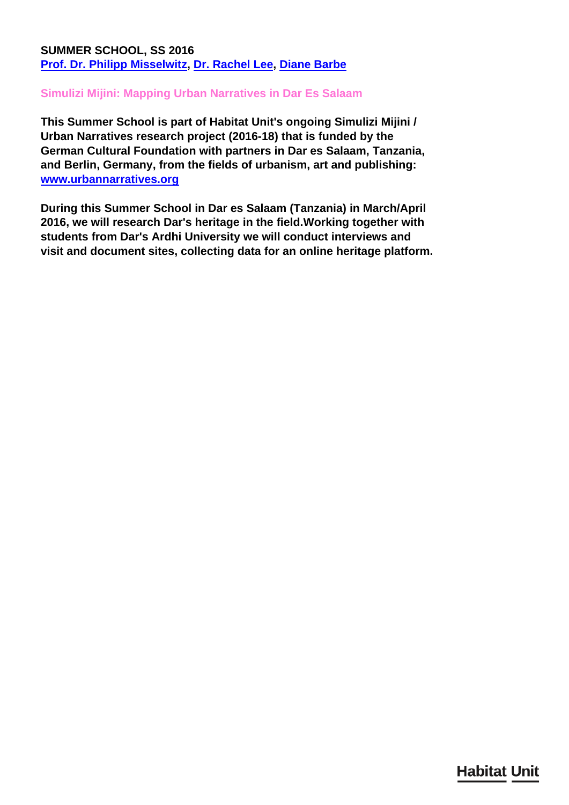## **SUMMER SCHOOL, SS 2016 [Prof. Dr. Philipp Misselwitz,](/en/team/philipp-misselwitz/) [Dr. Rachel Lee,](/en/team/rachel-lee/) [Diane Barbe](/en/team/diane-barbe/)**

## **Simulizi Mijini: Mapping Urban Narratives in Dar Es Salaam**

**This Summer School is part of Habitat Unit's ongoing Simulizi Mijini / Urban Narratives research project (2016-18) that is funded by the German Cultural Foundation with partners in Dar es Salaam, Tanzania, and Berlin, Germany, from the fields of urbanism, art and publishing: [www.urbannarratives.org](http://www.urbannarratives.org)**

**During this Summer School in Dar es Salaam (Tanzania) in March/April 2016, we will research Dar's heritage in the field.Working together with students from Dar's Ardhi University we will conduct interviews and visit and document sites, collecting data for an online heritage platform.**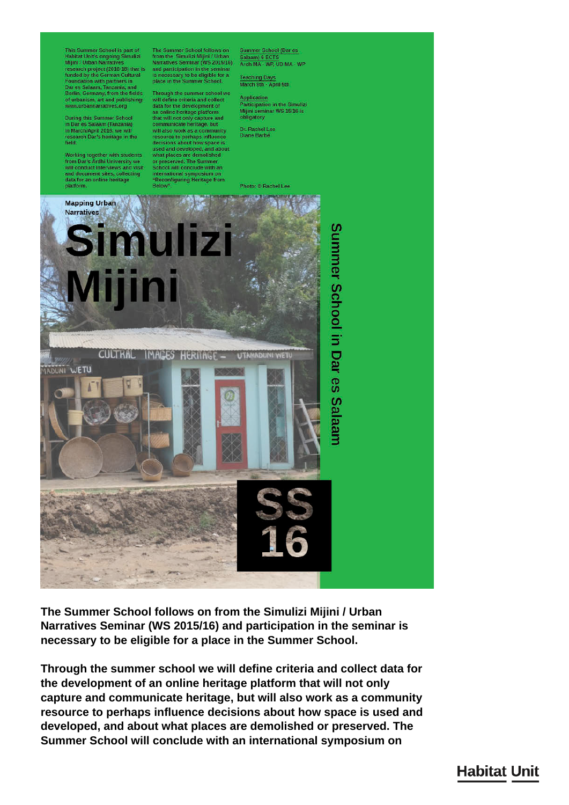This Summer School is part of<br>Habitat Unit's ongoing Simulizi<br>Mijini / Urban Narratives research project (2016-18) that is<br>funded by the German Cultural<br>Foundation with partners in Dar es Salaam, Tanzania, and<br>Berlin, Germany, from the fields<br>of urbanism, art and publishing: www.urbannarratives.org

During this Summer School<br>in Dar es Salaam (Tanzania)<br>in March/April 2016, we will<br>research Dar's heritage in the<br>field.

Working together with students<br>from Dar's Ardhi University we will conduct interviews and visit and document sites, collecting<br>data for an online heritage<br>platform.

The Summer School follows on<br>from the Simulizi Mijini / Urban<br>Narratives Seminar (WS 2015/16) and participation in the seminary<br>is necessary to be eligible for a<br>place in the Summer School.

Through the summer school we<br>will define criteria and collect<br>data for the development of<br>an online heritage platform<br>that will not only capture and<br>communicate heritage, but communicate heritage, but<br>will also work as a community<br>resource to perhaps influence<br>decisions about how space is<br>used and developed, and about<br>what places are demolished<br>or preserved. The Summer<br>School will conclude with international symposium on<br>"Reconfiguring Heritage from Below

Summer School (Dar es<br>Salaam) 6 ECTS<br>Arch MA - WP, UD MA - WP

Teaching Days<br>March 9th - April 5th

**Application** Participation<br>in the Simulizi<br>Mijini seminar WS 15/16 is<br>obligatory

Dr. Rachel Lee<br>Diane Barbé

**Photo: © Rachel Lee** 



The Summer School follows on from the Simulizi Mijini / Urban Narratives Seminar (WS 2015/16) and participation in the seminar is necessary to be eligible for a place in the Summer School.

Through the summer school we will define criteria and collect data for the development of an online heritage platform that will not only capture and communicate heritage, but will also work as a community resource to perhaps influence decisions about how space is used and developed, and about what places are demolished or preserved. The Summer School will conclude with an international symposium on

## **Habitat Unit**